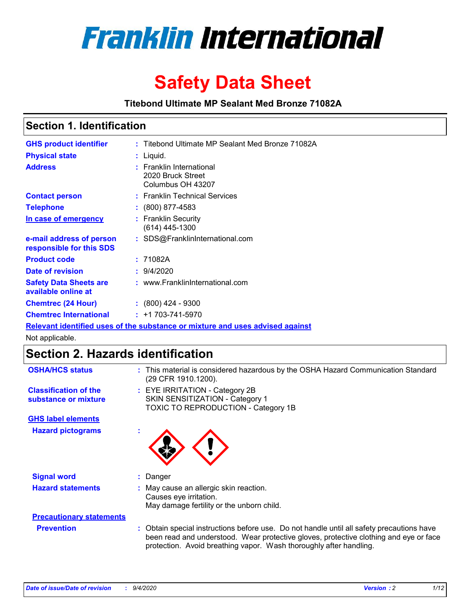

# **Safety Data Sheet**

**Titebond Ultimate MP Sealant Med Bronze 71082A**

### **Section 1. Identification**

| <b>GHS product identifier</b>                        | : Titebond Ultimate MP Sealant Med Bronze 71082A                              |
|------------------------------------------------------|-------------------------------------------------------------------------------|
| <b>Physical state</b>                                | : Liquid.                                                                     |
| <b>Address</b>                                       | : Franklin International<br>2020 Bruck Street<br>Columbus OH 43207            |
| <b>Contact person</b>                                | : Franklin Technical Services                                                 |
| <b>Telephone</b>                                     | $\colon$ (800) 877-4583                                                       |
| In case of emergency                                 | : Franklin Security<br>(614) 445-1300                                         |
| e-mail address of person<br>responsible for this SDS | : SDS@FranklinInternational.com                                               |
| <b>Product code</b>                                  | : 71082A                                                                      |
| <b>Date of revision</b>                              | 9/4/2020                                                                      |
| <b>Safety Data Sheets are</b><br>available online at | : www.FranklinInternational.com                                               |
| <b>Chemtrec (24 Hour)</b>                            | $\div$ (800) 424 - 9300                                                       |
| <b>Chemtrec International</b>                        | $: +1703 - 741 - 5970$                                                        |
|                                                      | Relevant identified uses of the substance or mixture and uses advised against |

Not applicable.

# **Section 2. Hazards identification**

| <b>OSHA/HCS status</b>                               |    | : This material is considered hazardous by the OSHA Hazard Communication Standard<br>(29 CFR 1910.1200).                                                                                                                                                 |
|------------------------------------------------------|----|----------------------------------------------------------------------------------------------------------------------------------------------------------------------------------------------------------------------------------------------------------|
| <b>Classification of the</b><br>substance or mixture |    | : EYE IRRITATION - Category 2B<br>SKIN SENSITIZATION - Category 1<br>TOXIC TO REPRODUCTION - Category 1B                                                                                                                                                 |
| <b>GHS label elements</b>                            |    |                                                                                                                                                                                                                                                          |
| <b>Hazard pictograms</b>                             | ٠  |                                                                                                                                                                                                                                                          |
| <b>Signal word</b>                                   | ÷. | Danger                                                                                                                                                                                                                                                   |
| <b>Hazard statements</b>                             |    | May cause an allergic skin reaction.<br>Causes eye irritation.<br>May damage fertility or the unborn child.                                                                                                                                              |
| <b>Precautionary statements</b>                      |    |                                                                                                                                                                                                                                                          |
| <b>Prevention</b>                                    |    | : Obtain special instructions before use. Do not handle until all safety precautions have<br>been read and understood. Wear protective gloves, protective clothing and eye or face<br>protection. Avoid breathing vapor. Wash thoroughly after handling. |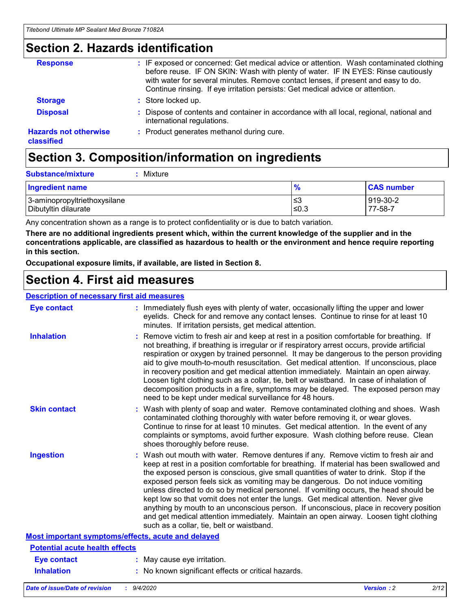### **Section 2. Hazards identification**

| <b>Response</b>                            | : IF exposed or concerned: Get medical advice or attention. Wash contaminated clothing<br>before reuse. IF ON SKIN: Wash with plenty of water. IF IN EYES: Rinse cautiously<br>with water for several minutes. Remove contact lenses, if present and easy to do.<br>Continue rinsing. If eye irritation persists: Get medical advice or attention. |
|--------------------------------------------|----------------------------------------------------------------------------------------------------------------------------------------------------------------------------------------------------------------------------------------------------------------------------------------------------------------------------------------------------|
| <b>Storage</b>                             | : Store locked up.                                                                                                                                                                                                                                                                                                                                 |
| <b>Disposal</b>                            | : Dispose of contents and container in accordance with all local, regional, national and<br>international regulations.                                                                                                                                                                                                                             |
| <b>Hazards not otherwise</b><br>classified | : Product generates methanol during cure.                                                                                                                                                                                                                                                                                                          |

# **Section 3. Composition/information on ingredients**

| $:$ Mixture |
|-------------|
|             |

| <b>Ingredient name</b>       | $\frac{9}{6}$ | <b>CAS number</b> |
|------------------------------|---------------|-------------------|
| 3-aminopropyltriethoxysilane | ՝≤3           | 919-30-2          |
| Dibutyltin dilaurate         | ∣≤0.3         | 77-58-7           |

Any concentration shown as a range is to protect confidentiality or is due to batch variation.

**There are no additional ingredients present which, within the current knowledge of the supplier and in the concentrations applicable, are classified as hazardous to health or the environment and hence require reporting in this section.**

**Occupational exposure limits, if available, are listed in Section 8.**

### **Section 4. First aid measures**

| <b>Description of necessary first aid measures</b> |                                                                                                                                                                                                                                                                                                                                                                                                                                                                                                                                                                                                                                                                                                                                                                           |
|----------------------------------------------------|---------------------------------------------------------------------------------------------------------------------------------------------------------------------------------------------------------------------------------------------------------------------------------------------------------------------------------------------------------------------------------------------------------------------------------------------------------------------------------------------------------------------------------------------------------------------------------------------------------------------------------------------------------------------------------------------------------------------------------------------------------------------------|
| <b>Eye contact</b>                                 | : Immediately flush eyes with plenty of water, occasionally lifting the upper and lower<br>eyelids. Check for and remove any contact lenses. Continue to rinse for at least 10<br>minutes. If irritation persists, get medical attention.                                                                                                                                                                                                                                                                                                                                                                                                                                                                                                                                 |
| <b>Inhalation</b>                                  | : Remove victim to fresh air and keep at rest in a position comfortable for breathing. If<br>not breathing, if breathing is irregular or if respiratory arrest occurs, provide artificial<br>respiration or oxygen by trained personnel. It may be dangerous to the person providing<br>aid to give mouth-to-mouth resuscitation. Get medical attention. If unconscious, place<br>in recovery position and get medical attention immediately. Maintain an open airway.<br>Loosen tight clothing such as a collar, tie, belt or waistband. In case of inhalation of<br>decomposition products in a fire, symptoms may be delayed. The exposed person may<br>need to be kept under medical surveillance for 48 hours.                                                       |
| <b>Skin contact</b>                                | : Wash with plenty of soap and water. Remove contaminated clothing and shoes. Wash<br>contaminated clothing thoroughly with water before removing it, or wear gloves.<br>Continue to rinse for at least 10 minutes. Get medical attention. In the event of any<br>complaints or symptoms, avoid further exposure. Wash clothing before reuse. Clean<br>shoes thoroughly before reuse.                                                                                                                                                                                                                                                                                                                                                                                     |
| <b>Ingestion</b>                                   | : Wash out mouth with water. Remove dentures if any. Remove victim to fresh air and<br>keep at rest in a position comfortable for breathing. If material has been swallowed and<br>the exposed person is conscious, give small quantities of water to drink. Stop if the<br>exposed person feels sick as vomiting may be dangerous. Do not induce vomiting<br>unless directed to do so by medical personnel. If vomiting occurs, the head should be<br>kept low so that vomit does not enter the lungs. Get medical attention. Never give<br>anything by mouth to an unconscious person. If unconscious, place in recovery position<br>and get medical attention immediately. Maintain an open airway. Loosen tight clothing<br>such as a collar, tie, belt or waistband. |
| Most important symptoms/effects, acute and delayed |                                                                                                                                                                                                                                                                                                                                                                                                                                                                                                                                                                                                                                                                                                                                                                           |
| <b>Potential acute health effects</b>              |                                                                                                                                                                                                                                                                                                                                                                                                                                                                                                                                                                                                                                                                                                                                                                           |
| Eye contact                                        | : May cause eye irritation.                                                                                                                                                                                                                                                                                                                                                                                                                                                                                                                                                                                                                                                                                                                                               |
| <b>Inhalation</b>                                  | : No known significant effects or critical hazards.                                                                                                                                                                                                                                                                                                                                                                                                                                                                                                                                                                                                                                                                                                                       |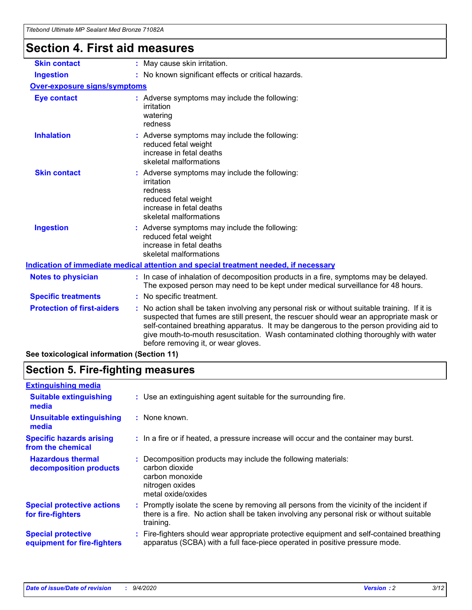## **Section 4. First aid measures**

| <b>Skin contact</b>                 | : May cause skin irritation.                                                                                                                                                                                                                                                                                                                                                                                    |  |
|-------------------------------------|-----------------------------------------------------------------------------------------------------------------------------------------------------------------------------------------------------------------------------------------------------------------------------------------------------------------------------------------------------------------------------------------------------------------|--|
| <b>Ingestion</b>                    | : No known significant effects or critical hazards.                                                                                                                                                                                                                                                                                                                                                             |  |
| <b>Over-exposure signs/symptoms</b> |                                                                                                                                                                                                                                                                                                                                                                                                                 |  |
| <b>Eye contact</b>                  | : Adverse symptoms may include the following:<br>irritation<br>watering<br>redness                                                                                                                                                                                                                                                                                                                              |  |
| <b>Inhalation</b>                   | : Adverse symptoms may include the following:<br>reduced fetal weight<br>increase in fetal deaths<br>skeletal malformations                                                                                                                                                                                                                                                                                     |  |
| <b>Skin contact</b>                 | : Adverse symptoms may include the following:<br>irritation<br>redness<br>reduced fetal weight<br>increase in fetal deaths<br>skeletal malformations                                                                                                                                                                                                                                                            |  |
| <b>Ingestion</b>                    | : Adverse symptoms may include the following:<br>reduced fetal weight<br>increase in fetal deaths<br>skeletal malformations                                                                                                                                                                                                                                                                                     |  |
|                                     | <u>Indication of immediate medical attention and special treatment needed, if necessary</u>                                                                                                                                                                                                                                                                                                                     |  |
| <b>Notes to physician</b>           | : In case of inhalation of decomposition products in a fire, symptoms may be delayed.<br>The exposed person may need to be kept under medical surveillance for 48 hours.                                                                                                                                                                                                                                        |  |
| <b>Specific treatments</b>          | : No specific treatment.                                                                                                                                                                                                                                                                                                                                                                                        |  |
| <b>Protection of first-aiders</b>   | : No action shall be taken involving any personal risk or without suitable training. If it is<br>suspected that fumes are still present, the rescuer should wear an appropriate mask or<br>self-contained breathing apparatus. It may be dangerous to the person providing aid to<br>give mouth-to-mouth resuscitation. Wash contaminated clothing thoroughly with water<br>before removing it, or wear gloves. |  |
|                                     |                                                                                                                                                                                                                                                                                                                                                                                                                 |  |

**See toxicological information (Section 11)**

## **Section 5. Fire-fighting measures**

| <b>Extinguishing media</b>                               |                                                                                                                                                                                                     |
|----------------------------------------------------------|-----------------------------------------------------------------------------------------------------------------------------------------------------------------------------------------------------|
| <b>Suitable extinguishing</b><br>media                   | : Use an extinguishing agent suitable for the surrounding fire.                                                                                                                                     |
| <b>Unsuitable extinguishing</b><br>media                 | : None known.                                                                                                                                                                                       |
| <b>Specific hazards arising</b><br>from the chemical     | : In a fire or if heated, a pressure increase will occur and the container may burst.                                                                                                               |
| <b>Hazardous thermal</b><br>decomposition products       | Decomposition products may include the following materials:<br>carbon dioxide<br>carbon monoxide<br>nitrogen oxides<br>metal oxide/oxides                                                           |
| <b>Special protective actions</b><br>for fire-fighters   | : Promptly isolate the scene by removing all persons from the vicinity of the incident if<br>there is a fire. No action shall be taken involving any personal risk or without suitable<br>training. |
| <b>Special protective</b><br>equipment for fire-fighters | : Fire-fighters should wear appropriate protective equipment and self-contained breathing<br>apparatus (SCBA) with a full face-piece operated in positive pressure mode.                            |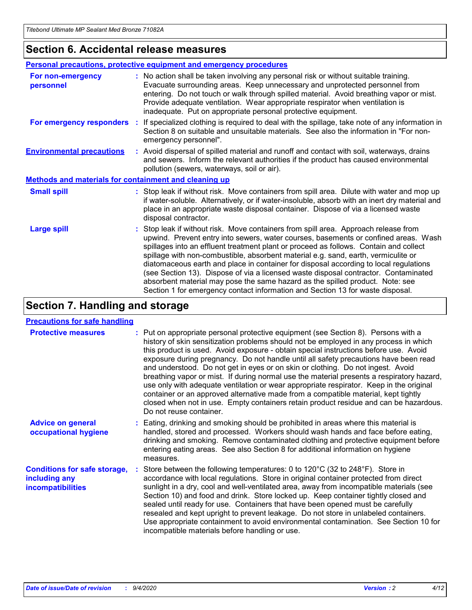### **Section 6. Accidental release measures**

|                                                              | <b>Personal precautions, protective equipment and emergency procedures</b>                                                                                                                                                                                                                                                                                                                                                                                                                                                                                                                                                                                                                                   |
|--------------------------------------------------------------|--------------------------------------------------------------------------------------------------------------------------------------------------------------------------------------------------------------------------------------------------------------------------------------------------------------------------------------------------------------------------------------------------------------------------------------------------------------------------------------------------------------------------------------------------------------------------------------------------------------------------------------------------------------------------------------------------------------|
| For non-emergency<br>personnel                               | : No action shall be taken involving any personal risk or without suitable training.<br>Evacuate surrounding areas. Keep unnecessary and unprotected personnel from<br>entering. Do not touch or walk through spilled material. Avoid breathing vapor or mist.<br>Provide adequate ventilation. Wear appropriate respirator when ventilation is<br>inadequate. Put on appropriate personal protective equipment.                                                                                                                                                                                                                                                                                             |
| For emergency responders                                     | : If specialized clothing is required to deal with the spillage, take note of any information in<br>Section 8 on suitable and unsuitable materials. See also the information in "For non-<br>emergency personnel".                                                                                                                                                                                                                                                                                                                                                                                                                                                                                           |
| <b>Environmental precautions</b>                             | : Avoid dispersal of spilled material and runoff and contact with soil, waterways, drains<br>and sewers. Inform the relevant authorities if the product has caused environmental<br>pollution (sewers, waterways, soil or air).                                                                                                                                                                                                                                                                                                                                                                                                                                                                              |
| <b>Methods and materials for containment and cleaning up</b> |                                                                                                                                                                                                                                                                                                                                                                                                                                                                                                                                                                                                                                                                                                              |
| <b>Small spill</b>                                           | : Stop leak if without risk. Move containers from spill area. Dilute with water and mop up<br>if water-soluble. Alternatively, or if water-insoluble, absorb with an inert dry material and<br>place in an appropriate waste disposal container. Dispose of via a licensed waste<br>disposal contractor.                                                                                                                                                                                                                                                                                                                                                                                                     |
| <b>Large spill</b>                                           | : Stop leak if without risk. Move containers from spill area. Approach release from<br>upwind. Prevent entry into sewers, water courses, basements or confined areas. Wash<br>spillages into an effluent treatment plant or proceed as follows. Contain and collect<br>spillage with non-combustible, absorbent material e.g. sand, earth, vermiculite or<br>diatomaceous earth and place in container for disposal according to local regulations<br>(see Section 13). Dispose of via a licensed waste disposal contractor. Contaminated<br>absorbent material may pose the same hazard as the spilled product. Note: see<br>Section 1 for emergency contact information and Section 13 for waste disposal. |

## **Section 7. Handling and storage**

#### **Precautions for safe handling**

| <b>Protective measures</b>                                                       | : Put on appropriate personal protective equipment (see Section 8). Persons with a<br>history of skin sensitization problems should not be employed in any process in which<br>this product is used. Avoid exposure - obtain special instructions before use. Avoid<br>exposure during pregnancy. Do not handle until all safety precautions have been read<br>and understood. Do not get in eyes or on skin or clothing. Do not ingest. Avoid<br>breathing vapor or mist. If during normal use the material presents a respiratory hazard,<br>use only with adequate ventilation or wear appropriate respirator. Keep in the original<br>container or an approved alternative made from a compatible material, kept tightly<br>closed when not in use. Empty containers retain product residue and can be hazardous.<br>Do not reuse container. |
|----------------------------------------------------------------------------------|--------------------------------------------------------------------------------------------------------------------------------------------------------------------------------------------------------------------------------------------------------------------------------------------------------------------------------------------------------------------------------------------------------------------------------------------------------------------------------------------------------------------------------------------------------------------------------------------------------------------------------------------------------------------------------------------------------------------------------------------------------------------------------------------------------------------------------------------------|
| <b>Advice on general</b><br>occupational hygiene                                 | : Eating, drinking and smoking should be prohibited in areas where this material is<br>handled, stored and processed. Workers should wash hands and face before eating,<br>drinking and smoking. Remove contaminated clothing and protective equipment before<br>entering eating areas. See also Section 8 for additional information on hygiene<br>measures.                                                                                                                                                                                                                                                                                                                                                                                                                                                                                    |
| <b>Conditions for safe storage,</b><br>including any<br><i>incompatibilities</i> | Store between the following temperatures: 0 to 120°C (32 to 248°F). Store in<br>accordance with local regulations. Store in original container protected from direct<br>sunlight in a dry, cool and well-ventilated area, away from incompatible materials (see<br>Section 10) and food and drink. Store locked up. Keep container tightly closed and<br>sealed until ready for use. Containers that have been opened must be carefully<br>resealed and kept upright to prevent leakage. Do not store in unlabeled containers.<br>Use appropriate containment to avoid environmental contamination. See Section 10 for<br>incompatible materials before handling or use.                                                                                                                                                                         |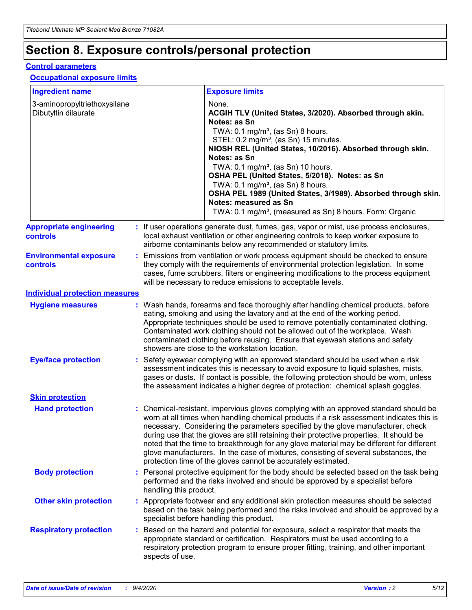# **Section 8. Exposure controls/personal protection**

#### **Control parameters**

#### **Occupational exposure limits**

| <b>Ingredient name</b>                               |    |                        | <b>Exposure limits</b>                                                                                                                                                                                                                                                                                                                                                                                                                                                                                                                                                                                                 |
|------------------------------------------------------|----|------------------------|------------------------------------------------------------------------------------------------------------------------------------------------------------------------------------------------------------------------------------------------------------------------------------------------------------------------------------------------------------------------------------------------------------------------------------------------------------------------------------------------------------------------------------------------------------------------------------------------------------------------|
| 3-aminopropyltriethoxysilane<br>Dibutyltin dilaurate |    |                        | None.<br>ACGIH TLV (United States, 3/2020). Absorbed through skin.<br>Notes: as Sn<br>TWA: $0.1 \text{ mg/m}^3$ , (as Sn) 8 hours.<br>STEL: 0.2 mg/m <sup>3</sup> , (as Sn) 15 minutes.<br>NIOSH REL (United States, 10/2016). Absorbed through skin.<br>Notes: as Sn<br>TWA: 0.1 mg/m <sup>3</sup> , (as Sn) 10 hours.<br>OSHA PEL (United States, 5/2018). Notes: as Sn<br>TWA: 0.1 mg/m <sup>3</sup> , (as Sn) 8 hours.<br>OSHA PEL 1989 (United States, 3/1989). Absorbed through skin.<br>Notes: measured as Sn<br>TWA: 0.1 mg/m <sup>3</sup> , (measured as Sn) 8 hours. Form: Organic                           |
| <b>Appropriate engineering</b><br>controls           |    |                        | : If user operations generate dust, fumes, gas, vapor or mist, use process enclosures,<br>local exhaust ventilation or other engineering controls to keep worker exposure to<br>airborne contaminants below any recommended or statutory limits.                                                                                                                                                                                                                                                                                                                                                                       |
| <b>Environmental exposure</b><br>controls            |    |                        | Emissions from ventilation or work process equipment should be checked to ensure<br>they comply with the requirements of environmental protection legislation. In some<br>cases, fume scrubbers, filters or engineering modifications to the process equipment<br>will be necessary to reduce emissions to acceptable levels.                                                                                                                                                                                                                                                                                          |
| <b>Individual protection measures</b>                |    |                        |                                                                                                                                                                                                                                                                                                                                                                                                                                                                                                                                                                                                                        |
| <b>Hygiene measures</b>                              |    |                        | : Wash hands, forearms and face thoroughly after handling chemical products, before<br>eating, smoking and using the lavatory and at the end of the working period.<br>Appropriate techniques should be used to remove potentially contaminated clothing.<br>Contaminated work clothing should not be allowed out of the workplace. Wash<br>contaminated clothing before reusing. Ensure that eyewash stations and safety<br>showers are close to the workstation location.                                                                                                                                            |
| <b>Eye/face protection</b>                           |    |                        | Safety eyewear complying with an approved standard should be used when a risk<br>assessment indicates this is necessary to avoid exposure to liquid splashes, mists,<br>gases or dusts. If contact is possible, the following protection should be worn, unless<br>the assessment indicates a higher degree of protection: chemical splash goggles.                                                                                                                                                                                                                                                                    |
| <b>Skin protection</b>                               |    |                        |                                                                                                                                                                                                                                                                                                                                                                                                                                                                                                                                                                                                                        |
| <b>Hand protection</b>                               |    |                        | : Chemical-resistant, impervious gloves complying with an approved standard should be<br>worn at all times when handling chemical products if a risk assessment indicates this is<br>necessary. Considering the parameters specified by the glove manufacturer, check<br>during use that the gloves are still retaining their protective properties. It should be<br>noted that the time to breakthrough for any glove material may be different for different<br>glove manufacturers. In the case of mixtures, consisting of several substances, the<br>protection time of the gloves cannot be accurately estimated. |
| <b>Body protection</b>                               |    | handling this product. | Personal protective equipment for the body should be selected based on the task being<br>performed and the risks involved and should be approved by a specialist before                                                                                                                                                                                                                                                                                                                                                                                                                                                |
| <b>Other skin protection</b>                         |    |                        | : Appropriate footwear and any additional skin protection measures should be selected<br>based on the task being performed and the risks involved and should be approved by a<br>specialist before handling this product.                                                                                                                                                                                                                                                                                                                                                                                              |
| <b>Respiratory protection</b>                        | ÷. | aspects of use.        | Based on the hazard and potential for exposure, select a respirator that meets the<br>appropriate standard or certification. Respirators must be used according to a<br>respiratory protection program to ensure proper fitting, training, and other important                                                                                                                                                                                                                                                                                                                                                         |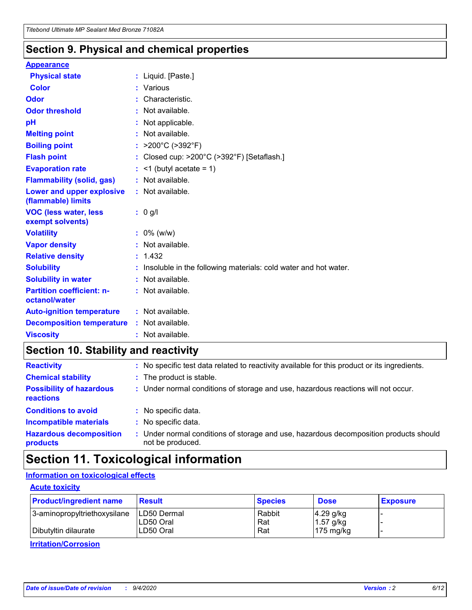### **Section 9. Physical and chemical properties**

#### **Appearance**

| <b>Physical state</b>                             | : Liquid. [Paste.]                                              |
|---------------------------------------------------|-----------------------------------------------------------------|
| Color                                             | Various                                                         |
| Odor                                              | : Characteristic.                                               |
| <b>Odor threshold</b>                             | : Not available.                                                |
| рH                                                | : Not applicable.                                               |
| <b>Melting point</b>                              | : Not available.                                                |
| <b>Boiling point</b>                              | : $>200^{\circ}$ C ( $>392^{\circ}$ F)                          |
| <b>Flash point</b>                                | : Closed cup: >200°C (>392°F) [Setaflash.]                      |
| <b>Evaporation rate</b>                           | $:$ <1 (butyl acetate = 1)                                      |
| <b>Flammability (solid, gas)</b>                  | : Not available.                                                |
| Lower and upper explosive<br>(flammable) limits   | $:$ Not available.                                              |
| <b>VOC (less water, less</b><br>exempt solvents)  | : 0 g/l                                                         |
| <b>Volatility</b>                                 | $: 0\%$ (w/w)                                                   |
| <b>Vapor density</b>                              | : Not available.                                                |
| <b>Relative density</b>                           | : 1.432                                                         |
|                                                   |                                                                 |
| <b>Solubility</b>                                 | Insoluble in the following materials: cold water and hot water. |
| <b>Solubility in water</b>                        | : Not available.                                                |
| <b>Partition coefficient: n-</b><br>octanol/water | $:$ Not available.                                              |
| <b>Auto-ignition temperature</b>                  | : Not available.                                                |
| <b>Decomposition temperature</b>                  | : Not available.                                                |

## **Section 10. Stability and reactivity**

| <b>Reactivity</b>                            |    | : No specific test data related to reactivity available for this product or its ingredients.            |
|----------------------------------------------|----|---------------------------------------------------------------------------------------------------------|
| <b>Chemical stability</b>                    |    | : The product is stable.                                                                                |
| <b>Possibility of hazardous</b><br>reactions |    | : Under normal conditions of storage and use, hazardous reactions will not occur.                       |
| <b>Conditions to avoid</b>                   |    | : No specific data.                                                                                     |
| <b>Incompatible materials</b>                | ٠. | No specific data.                                                                                       |
| <b>Hazardous decomposition</b><br>products   | ÷. | Under normal conditions of storage and use, hazardous decomposition products should<br>not be produced. |

## **Section 11. Toxicological information**

### **Information on toxicological effects**

#### **Acute toxicity**

| <b>Product/ingredient name</b> | <b>Result</b>           | <b>Species</b> | <b>Dose</b>                | <b>Exposure</b> |
|--------------------------------|-------------------------|----------------|----------------------------|-----------------|
| 3-aminopropyltriethoxysilane   | <b>ILD50 Dermal</b>     | Rabbit         | 4.29 g/kg                  |                 |
| Dibutyltin dilaurate           | ILD50 Oral<br>LD50 Oral | Rat<br>Rat     | $1.57$ g/kg<br>175 $mg/kg$ |                 |
|                                |                         |                |                            |                 |

**Irritation/Corrosion**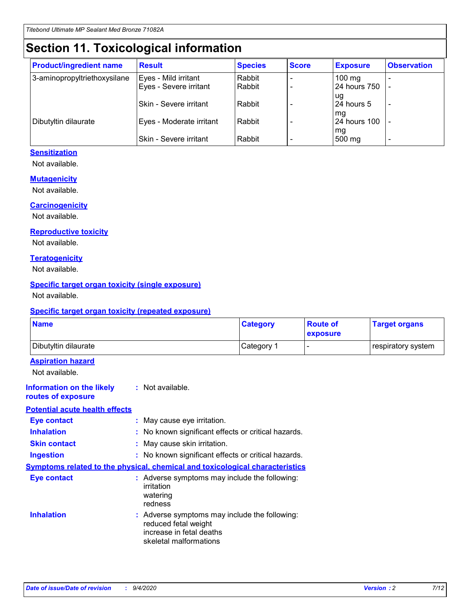# **Section 11. Toxicological information**

| <b>Product/ingredient name</b> | <b>Result</b>            | <b>Species</b> | <b>Score</b> | <b>Exposure</b>           | <b>Observation</b> |
|--------------------------------|--------------------------|----------------|--------------|---------------------------|--------------------|
| 3-aminopropyltriethoxysilane   | Eyes - Mild irritant     | Rabbit         |              | $100$ mg                  |                    |
|                                | Eyes - Severe irritant   | Rabbit         |              | 24 hours 750              |                    |
|                                |                          |                |              | ug                        |                    |
|                                | Skin - Severe irritant   | Rabbit         |              | 24 hours 5                | -                  |
| Dibutyltin dilaurate           | Eyes - Moderate irritant | Rabbit         |              | mq<br><b>24 hours 100</b> |                    |
|                                |                          |                |              | mg                        |                    |
|                                | Skin - Severe irritant   | Rabbit         |              | 500 mg                    |                    |

#### **Sensitization**

Not available.

#### **Mutagenicity**

Not available.

#### **Carcinogenicity**

Not available.

#### **Reproductive toxicity**

Not available.

#### **Teratogenicity**

Not available.

#### **Specific target organ toxicity (single exposure)**

Not available.

#### **Specific target organ toxicity (repeated exposure)**

| <b>Name</b>                                                                         |                                                                            | <b>Category</b>                                     | <b>Route of</b><br>exposure | <b>Target organs</b> |  |  |
|-------------------------------------------------------------------------------------|----------------------------------------------------------------------------|-----------------------------------------------------|-----------------------------|----------------------|--|--|
| Dibutyltin dilaurate                                                                |                                                                            | Category 1                                          |                             | respiratory system   |  |  |
| <b>Aspiration hazard</b><br>Not available.                                          |                                                                            |                                                     |                             |                      |  |  |
| <b>Information on the likely</b><br>routes of exposure                              | : Not available.                                                           |                                                     |                             |                      |  |  |
| <b>Potential acute health effects</b>                                               |                                                                            |                                                     |                             |                      |  |  |
| <b>Eye contact</b>                                                                  | : May cause eye irritation.                                                |                                                     |                             |                      |  |  |
| <b>Inhalation</b>                                                                   |                                                                            | : No known significant effects or critical hazards. |                             |                      |  |  |
| <b>Skin contact</b>                                                                 |                                                                            | : May cause skin irritation.                        |                             |                      |  |  |
| <b>Ingestion</b>                                                                    |                                                                            | : No known significant effects or critical hazards. |                             |                      |  |  |
| <b>Symptoms related to the physical, chemical and toxicological characteristics</b> |                                                                            |                                                     |                             |                      |  |  |
| <b>Eye contact</b>                                                                  | irritation<br>watering<br>redness                                          | : Adverse symptoms may include the following:       |                             |                      |  |  |
| <b>Inhalation</b>                                                                   | reduced fetal weight<br>increase in fetal deaths<br>skeletal malformations | : Adverse symptoms may include the following:       |                             |                      |  |  |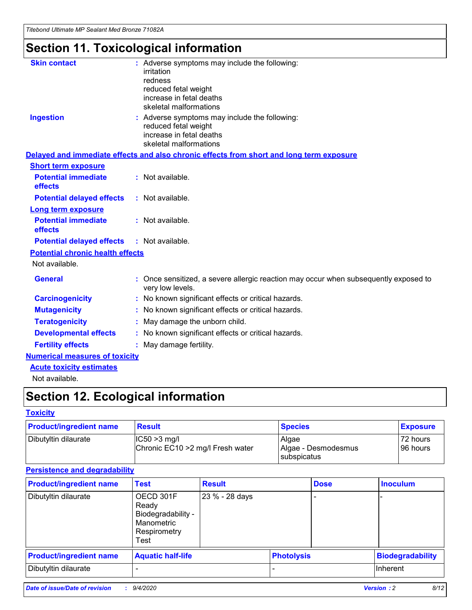*Titebond Ultimate MP Sealant Med Bronze 71082A*

# **Section 11. Toxicological information**

| <b>Skin contact</b>                     | : Adverse symptoms may include the following:<br>irritation<br>redness<br>reduced fetal weight<br>increase in fetal deaths<br>skeletal malformations |
|-----------------------------------------|------------------------------------------------------------------------------------------------------------------------------------------------------|
| <b>Ingestion</b>                        | : Adverse symptoms may include the following:<br>reduced fetal weight<br>increase in fetal deaths<br>skeletal malformations                          |
|                                         | Delayed and immediate effects and also chronic effects from short and long term exposure                                                             |
| <b>Short term exposure</b>              |                                                                                                                                                      |
| <b>Potential immediate</b><br>effects   | : Not available.                                                                                                                                     |
| <b>Potential delayed effects</b>        | : Not available.                                                                                                                                     |
| <b>Long term exposure</b>               |                                                                                                                                                      |
| <b>Potential immediate</b><br>effects   | : Not available.                                                                                                                                     |
| <b>Potential delayed effects</b>        | : Not available.                                                                                                                                     |
| <b>Potential chronic health effects</b> |                                                                                                                                                      |
| Not available.                          |                                                                                                                                                      |
| <b>General</b>                          | Once sensitized, a severe allergic reaction may occur when subsequently exposed to<br>very low levels.                                               |
| <b>Carcinogenicity</b>                  | No known significant effects or critical hazards.                                                                                                    |
| <b>Mutagenicity</b>                     | : No known significant effects or critical hazards.                                                                                                  |
| <b>Teratogenicity</b>                   | May damage the unborn child.                                                                                                                         |
| <b>Developmental effects</b>            | : No known significant effects or critical hazards.                                                                                                  |
| <b>Fertility effects</b>                | : May damage fertility.                                                                                                                              |
| <b>Numerical measures of toxicity</b>   |                                                                                                                                                      |
| <b>Acute toxicity estimates</b>         |                                                                                                                                                      |
| Not ovoilable                           |                                                                                                                                                      |

Not available.

# **Section 12. Ecological information**

#### **Toxicity**

| <b>Product/ingredient name</b> | <b>Result</b>                                       | <b>Species</b>               | <b>Exposure</b>       |
|--------------------------------|-----------------------------------------------------|------------------------------|-----------------------|
| Dibutyltin dilaurate           | $ CC50>3$ mg/l<br>Chronic EC10 > 2 mg/l Fresh water | Algae<br>Algae - Desmodesmus | 72 hours<br>196 hours |
|                                |                                                     | <b>I</b> subspicatus         |                       |

#### **Persistence and degradability**

| <b>Product/ingredient name</b> | <b>Test</b>                                                                    | <b>Result</b>  |                   | <b>Dose</b> | <b>Inoculum</b>         |
|--------------------------------|--------------------------------------------------------------------------------|----------------|-------------------|-------------|-------------------------|
| Dibutyltin dilaurate           | OECD 301F<br>Ready<br>Biodegradability -<br>Manometric<br>Respirometry<br>Test | 23 % - 28 days |                   |             |                         |
| <b>Product/ingredient name</b> | <b>Aquatic half-life</b>                                                       |                | <b>Photolysis</b> |             | <b>Biodegradability</b> |
| Dibutyltin dilaurate           |                                                                                |                |                   |             | <b>Inherent</b>         |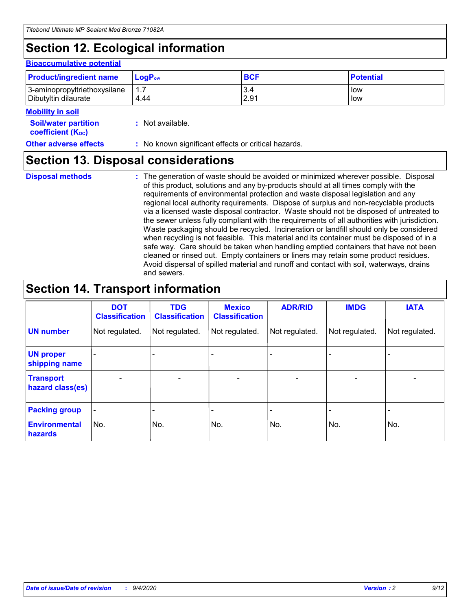# **Section 12. Ecological information**

#### **Bioaccumulative potential**

| <b>Product/ingredient name</b> | <b>LogP</b> <sub>ow</sub> | <b>BCF</b> | <b>Potential</b> |
|--------------------------------|---------------------------|------------|------------------|
| 3-aminopropyltriethoxysilane   | 1.7                       | 3.4        | low              |
| Dibutyltin dilaurate           | 4.44                      | 2.91       | low              |

#### **Mobility in soil**

| <b>Soil/water partition</b> | : Not available. |
|-----------------------------|------------------|
| <b>coefficient (Koc)</b>    |                  |

#### **Other adverse effects** : No known significant effects or critical hazards.

### **Section 13. Disposal considerations**

**Disposal methods :**

The generation of waste should be avoided or minimized wherever possible. Disposal of this product, solutions and any by-products should at all times comply with the requirements of environmental protection and waste disposal legislation and any regional local authority requirements. Dispose of surplus and non-recyclable products via a licensed waste disposal contractor. Waste should not be disposed of untreated to the sewer unless fully compliant with the requirements of all authorities with jurisdiction. Waste packaging should be recycled. Incineration or landfill should only be considered when recycling is not feasible. This material and its container must be disposed of in a safe way. Care should be taken when handling emptied containers that have not been cleaned or rinsed out. Empty containers or liners may retain some product residues. Avoid dispersal of spilled material and runoff and contact with soil, waterways, drains and sewers.

### **Section 14. Transport information**

|                                      | <b>DOT</b><br><b>Classification</b> | <b>TDG</b><br><b>Classification</b> | <b>Mexico</b><br><b>Classification</b> | <b>ADR/RID</b>           | <b>IMDG</b>              | <b>IATA</b>    |
|--------------------------------------|-------------------------------------|-------------------------------------|----------------------------------------|--------------------------|--------------------------|----------------|
| <b>UN number</b>                     | Not regulated.                      | Not regulated.                      | Not regulated.                         | Not regulated.           | Not regulated.           | Not regulated. |
| <b>UN proper</b><br>shipping name    |                                     |                                     |                                        |                          |                          |                |
| <b>Transport</b><br>hazard class(es) |                                     | $\overline{\phantom{0}}$            | $\qquad \qquad \blacksquare$           | $\overline{\phantom{0}}$ | $\overline{\phantom{0}}$ |                |
| <b>Packing group</b>                 |                                     |                                     |                                        |                          |                          |                |
| <b>Environmental</b><br>hazards      | No.                                 | No.                                 | No.                                    | No.                      | No.                      | No.            |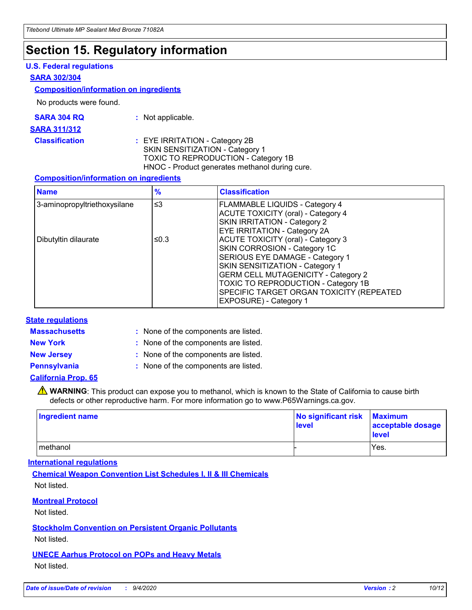## **Section 15. Regulatory information**

#### **U.S. Federal regulations**

#### **SARA 302/304**

#### **Composition/information on ingredients**

No products were found.

| SARA 304 RQ | Not applicable. |
|-------------|-----------------|
|-------------|-----------------|

#### **SARA 311/312**

#### **Classification :** EYE IRRITATION - Category 2B SKIN SENSITIZATION - Category 1 TOXIC TO REPRODUCTION - Category 1B HNOC - Product generates methanol during cure.

#### **Composition/information on ingredients**

| <b>Name</b>                  | $\frac{9}{6}$ | <b>Classification</b>                                                                                                                                                                                                                                                                                      |
|------------------------------|---------------|------------------------------------------------------------------------------------------------------------------------------------------------------------------------------------------------------------------------------------------------------------------------------------------------------------|
| 3-aminopropyltriethoxysilane | $\leq$ 3      | <b>FLAMMABLE LIQUIDS - Category 4</b><br><b>ACUTE TOXICITY (oral) - Category 4</b><br><b>SKIN IRRITATION - Category 2</b><br>EYE IRRITATION - Category 2A                                                                                                                                                  |
| Dibutyltin dilaurate         | ≤0.3          | <b>ACUTE TOXICITY (oral) - Category 3</b><br>SKIN CORROSION - Category 1C<br>SERIOUS EYE DAMAGE - Category 1<br>SKIN SENSITIZATION - Category 1<br><b>GERM CELL MUTAGENICITY - Category 2</b><br>TOXIC TO REPRODUCTION - Category 1B<br>SPECIFIC TARGET ORGAN TOXICITY (REPEATED<br>EXPOSURE) - Category 1 |

#### **State regulations**

**Massachusetts :**

: None of the components are listed.

**New York :** None of the components are listed.

**New Jersey :** None of the components are listed.

**Pennsylvania :** None of the components are listed.

#### **California Prop. 65**

WARNING: This product can expose you to methanol, which is known to the State of California to cause birth defects or other reproductive harm. For more information go to www.P65Warnings.ca.gov.

| Ingredient name | No significant risk<br>level | <b>Maximum</b><br>acceptable dosage<br>level |
|-----------------|------------------------------|----------------------------------------------|
| methanol        |                              | Yes.                                         |

#### **International regulations**

**Chemical Weapon Convention List Schedules I, II & III Chemicals** Not listed.

#### **Montreal Protocol**

Not listed.

**Stockholm Convention on Persistent Organic Pollutants**

Not listed.

#### **UNECE Aarhus Protocol on POPs and Heavy Metals** Not listed.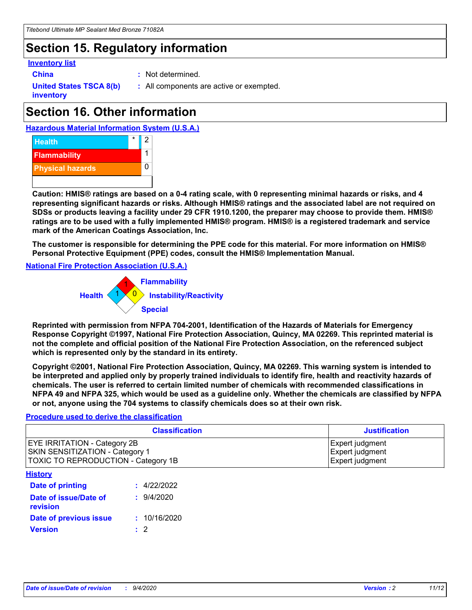### **Section 15. Regulatory information**

#### **Inventory list**

- 
- **China :** Not determined.

**United States TSCA 8(b) inventory**

**:** All components are active or exempted.

# **Section 16. Other information**





**Caution: HMIS® ratings are based on a 0-4 rating scale, with 0 representing minimal hazards or risks, and 4 representing significant hazards or risks. Although HMIS® ratings and the associated label are not required on SDSs or products leaving a facility under 29 CFR 1910.1200, the preparer may choose to provide them. HMIS® ratings are to be used with a fully implemented HMIS® program. HMIS® is a registered trademark and service mark of the American Coatings Association, Inc.**

**The customer is responsible for determining the PPE code for this material. For more information on HMIS® Personal Protective Equipment (PPE) codes, consult the HMIS® Implementation Manual.**

**National Fire Protection Association (U.S.A.)**



**Reprinted with permission from NFPA 704-2001, Identification of the Hazards of Materials for Emergency Response Copyright ©1997, National Fire Protection Association, Quincy, MA 02269. This reprinted material is not the complete and official position of the National Fire Protection Association, on the referenced subject which is represented only by the standard in its entirety.**

**Copyright ©2001, National Fire Protection Association, Quincy, MA 02269. This warning system is intended to be interpreted and applied only by properly trained individuals to identify fire, health and reactivity hazards of chemicals. The user is referred to certain limited number of chemicals with recommended classifications in NFPA 49 and NFPA 325, which would be used as a guideline only. Whether the chemicals are classified by NFPA or not, anyone using the 704 systems to classify chemicals does so at their own risk.**

#### **Procedure used to derive the classification**

| <b>Classification</b>                                                                                                | <b>Justification</b>                                  |
|----------------------------------------------------------------------------------------------------------------------|-------------------------------------------------------|
| <b>EYE IRRITATION - Category 2B</b><br><b>SKIN SENSITIZATION - Category 1</b><br>TOXIC TO REPRODUCTION - Category 1B | Expert judgment<br>Expert judgment<br>Expert judgment |
| <b>History</b>                                                                                                       |                                                       |

| .                                 |              |
|-----------------------------------|--------------|
| Date of printing                  | : 4/22/2022  |
| Date of issue/Date of<br>revision | 9/4/2020     |
| Date of previous issue            | : 10/16/2020 |
| <b>Version</b>                    | $\cdot$ 2    |
|                                   |              |